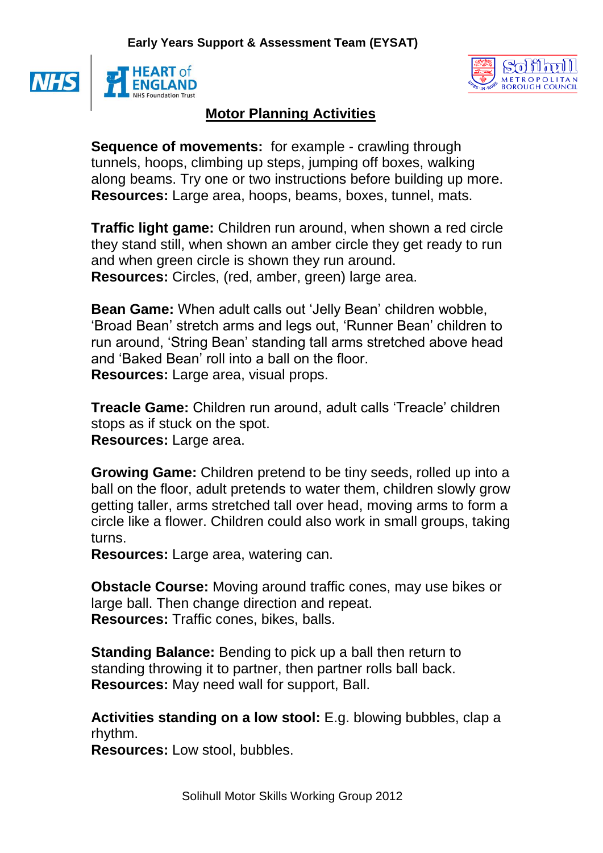**Early Years Support & Assessment Team (EYSAT)**



**NH** 



## **Motor Planning Activities**

**Sequence of movements:** for example - crawling through tunnels, hoops, climbing up steps, jumping off boxes, walking along beams. Try one or two instructions before building up more. **Resources:** Large area, hoops, beams, boxes, tunnel, mats.

**Traffic light game:** Children run around, when shown a red circle they stand still, when shown an amber circle they get ready to run and when green circle is shown they run around. **Resources:** Circles, (red, amber, green) large area.

**Bean Game:** When adult calls out 'Jelly Bean' children wobble, 'Broad Bean' stretch arms and legs out, 'Runner Bean' children to run around, 'String Bean' standing tall arms stretched above head and 'Baked Bean' roll into a ball on the floor. **Resources:** Large area, visual props.

**Treacle Game:** Children run around, adult calls 'Treacle' children stops as if stuck on the spot. **Resources:** Large area.

**Growing Game:** Children pretend to be tiny seeds, rolled up into a ball on the floor, adult pretends to water them, children slowly grow getting taller, arms stretched tall over head, moving arms to form a circle like a flower. Children could also work in small groups, taking turns.

**Resources:** Large area, watering can.

**Obstacle Course:** Moving around traffic cones, may use bikes or large ball. Then change direction and repeat. **Resources:** Traffic cones, bikes, balls.

**Standing Balance:** Bending to pick up a ball then return to standing throwing it to partner, then partner rolls ball back. **Resources:** May need wall for support, Ball.

**Activities standing on a low stool:** E.g. blowing bubbles, clap a rhythm.

**Resources:** Low stool, bubbles.